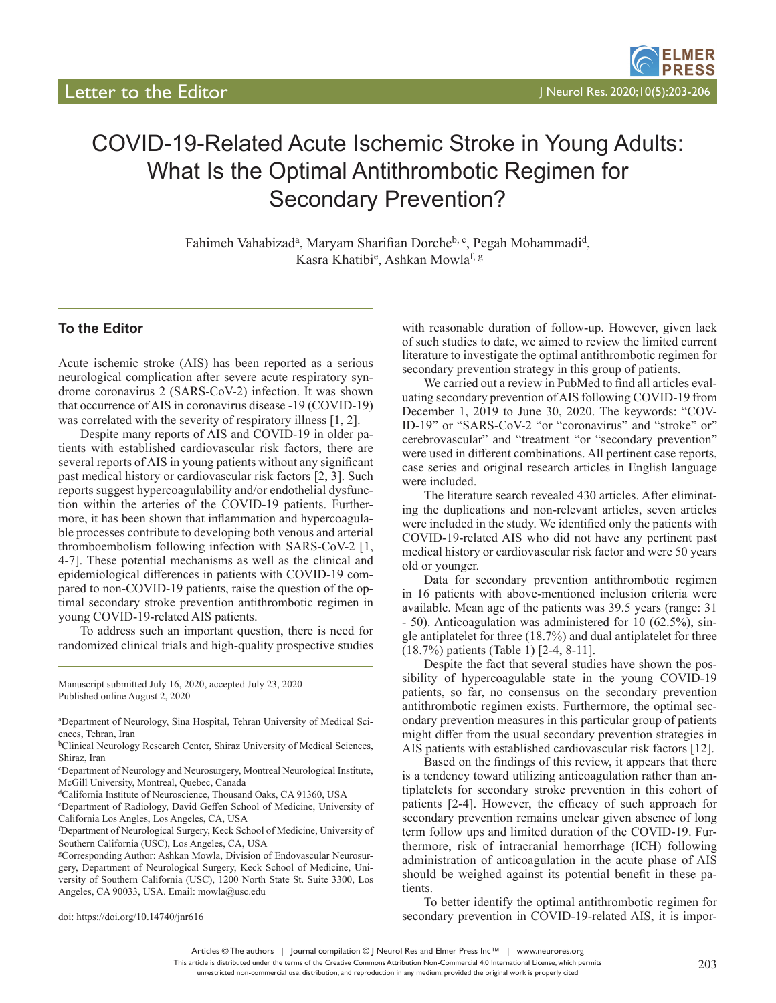# COVID-19-Related Acute Ischemic Stroke in Young Adults: What Is the Optimal Antithrombotic Regimen for Secondary Prevention?

Fahimeh Vahabizad<sup>a</sup>, Maryam Sharifian Dorche<sup>b, c</sup>, Pegah Mohammadi<sup>d</sup>, Kasra Khatibi<sup>e</sup>, Ashkan Mowla<sup>f, g</sup>

## **To the Editor**

Acute ischemic stroke (AIS) has been reported as a serious neurological complication after severe acute respiratory syndrome coronavirus 2 (SARS-CoV-2) infection. It was shown that occurrence of AIS in coronavirus disease -19 (COVID-19) was correlated with the severity of respiratory illness [1, 2].

Despite many reports of AIS and COVID-19 in older patients with established cardiovascular risk factors, there are several reports of AIS in young patients without any significant past medical history or cardiovascular risk factors [2, 3]. Such reports suggest hypercoagulability and/or endothelial dysfunction within the arteries of the COVID-19 patients. Furthermore, it has been shown that inflammation and hypercoagulable processes contribute to developing both venous and arterial thromboembolism following infection with SARS-CoV-2 [1, 4-7]. These potential mechanisms as well as the clinical and epidemiological differences in patients with COVID-19 compared to non-COVID-19 patients, raise the question of the optimal secondary stroke prevention antithrombotic regimen in young COVID-19-related AIS patients.

To address such an important question, there is need for randomized clinical trials and high-quality prospective studies

Manuscript submitted July 16, 2020, accepted July 23, 2020 Published online August 2, 2020

doi: https://doi.org/10.14740/jnr616

with reasonable duration of follow-up. However, given lack of such studies to date, we aimed to review the limited current literature to investigate the optimal antithrombotic regimen for secondary prevention strategy in this group of patients.

We carried out a review in PubMed to find all articles evaluating secondary prevention of AIS following COVID-19 from December 1, 2019 to June 30, 2020. The keywords: "COV-ID-19" or "SARS-CoV-2 "or "coronavirus" and "stroke" or" cerebrovascular" and "treatment "or "secondary prevention" were used in different combinations. All pertinent case reports, case series and original research articles in English language were included.

The literature search revealed 430 articles. After eliminating the duplications and non-relevant articles, seven articles were included in the study. We identified only the patients with COVID-19-related AIS who did not have any pertinent past medical history or cardiovascular risk factor and were 50 years old or younger.

Data for secondary prevention antithrombotic regimen in 16 patients with above-mentioned inclusion criteria were available. Mean age of the patients was 39.5 years (range: 31 - 50). Anticoagulation was administered for 10 (62.5%), single antiplatelet for three (18.7%) and dual antiplatelet for three (18.7%) patients (Table 1) [2-4, 8-11].

Despite the fact that several studies have shown the possibility of hypercoagulable state in the young COVID-19 patients, so far, no consensus on the secondary prevention antithrombotic regimen exists. Furthermore, the optimal secondary prevention measures in this particular group of patients might differ from the usual secondary prevention strategies in AIS patients with established cardiovascular risk factors [12].

Based on the findings of this review, it appears that there is a tendency toward utilizing anticoagulation rather than antiplatelets for secondary stroke prevention in this cohort of patients [2-4]. However, the efficacy of such approach for secondary prevention remains unclear given absence of long term follow ups and limited duration of the COVID-19. Furthermore, risk of intracranial hemorrhage (ICH) following administration of anticoagulation in the acute phase of AIS should be weighed against its potential benefit in these patients.

To better identify the optimal antithrombotic regimen for secondary prevention in COVID-19-related AIS, it is impor-

a Department of Neurology, Sina Hospital, Tehran University of Medical Sciences, Tehran, Iran

**bClinical Neurology Research Center, Shiraz University of Medical Sciences,** Shiraz, Iran

c Department of Neurology and Neurosurgery, Montreal Neurological Institute, McGill University, Montreal, Quebec, Canada

dCalifornia Institute of Neuroscience, Thousand Oaks, CA 91360, USA

e Department of Radiology, David Geffen School of Medicine, University of California Los Angles, Los Angeles, CA, USA

f Department of Neurological Surgery, Keck School of Medicine, University of Southern California (USC), Los Angeles, CA, USA

gCorresponding Author: Ashkan Mowla, Division of Endovascular Neurosurgery, Department of Neurological Surgery, Keck School of Medicine, University of Southern California (USC), 1200 North State St. Suite 3300, Los Angeles, CA 90033, USA. Email: mowla@usc.edu

Articles © The authors | Journal compilation © J Neurol Res and Elmer Press Inc™ | www.neurores.org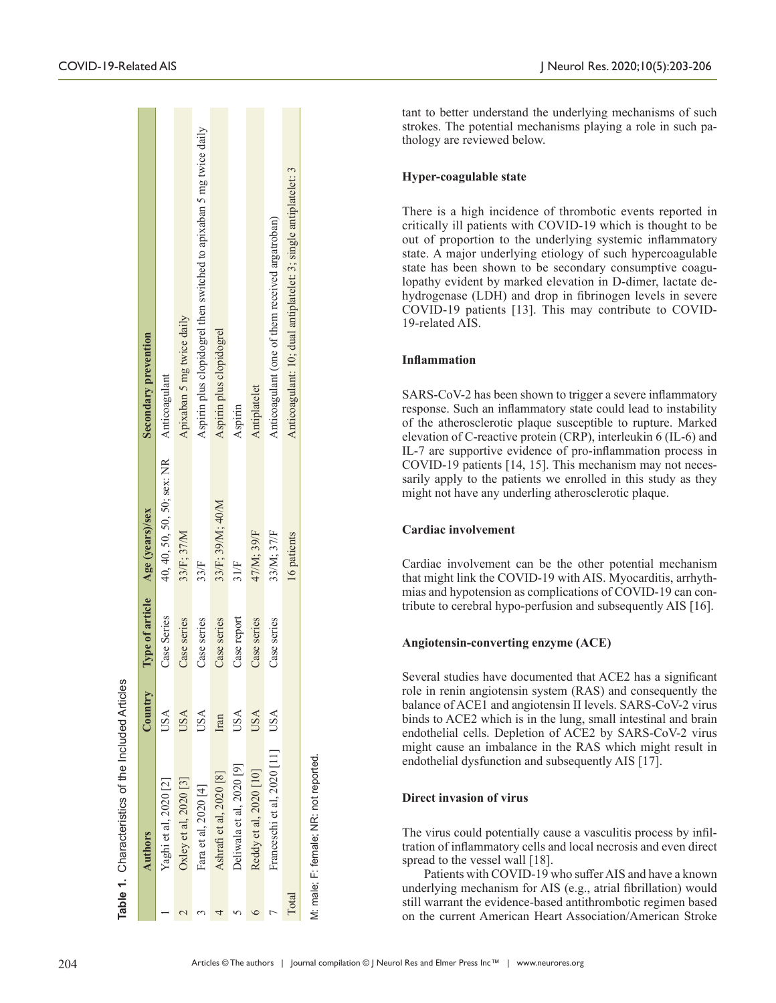|       | <b>Authors</b>                         | $\mathop{\rm Country}\nolimits$ | Type of article | Age (years)/sex             | Secondary prevention                                                |
|-------|----------------------------------------|---------------------------------|-----------------|-----------------------------|---------------------------------------------------------------------|
|       | Yaghi et al, 2020 [2]                  | USA                             | Case Series     | 40, 40, 50, 50, 50; sex: NR | Anticoagulant                                                       |
|       | Oxley et al, 2020 [3]                  | USA                             | Case series     | 33/F; 37/M                  | Apixaban 5 mg twice daily                                           |
|       | Fara et al, 2020 [4]                   | USA                             | Case series     | $33$ F                      | Aspirin plus clopidogrel then switched to apixaban 5 mg twice daily |
|       | Ashrafi et al, 2020 [8]                | Iran                            | Case series     | 33/F; 39/M; 40/M            | Aspirin plus clopidogrel                                            |
|       | Deliwala et al, 2020 [9]               | USA                             | Case report     | 31/F                        | Aspirin                                                             |
|       | Reddy et al, 2020 [10]                 | USA                             | Case series     | 47/M; 39/F                  | Antiplatelet                                                        |
|       | Franceschi et al, 2020 [11]            | <b>USA</b>                      | Case series     | 33/M; 37/F                  | Anticoagulant (one of them received argatroban)                     |
| Total |                                        |                                 |                 | 16 patients                 | Anticoagulant: 10; dual antiplatelet: 3; single antiplatelet: 3     |
|       | VI: male: F: female: NR: not reported. |                                 |                 |                             |                                                                     |

tant to better understand the underlying mechanisms of such strokes. The potential mechanisms playing a role in such pathology are reviewed below.

#### **Hyper-coagulable state**

There is a high incidence of thrombotic events reported in critically ill patients with COVID-19 which is thought to be out of proportion to the underlying systemic inflammatory state. A major underlying etiology of such hypercoagulable state has been shown to be secondary consumptive coagulopathy evident by marked elevation in D-dimer, lactate dehydrogenase (LDH) and drop in fibrinogen levels in severe COVID-19 patients [13]. This may contribute to COVID-19-related AIS.

#### **Inflammation**

SARS-CoV-2 has been shown to trigger a severe inflammatory response. Such an inflammatory state could lead to instability of the atherosclerotic plaque susceptible to rupture. Marked elevation of C-reactive protein (CRP), interleukin 6 (IL-6) and IL-7 are supportive evidence of pro-inflammation process in COVID-19 patients [14, 15]. This mechanism may not necessarily apply to the patients we enrolled in this study as they might not have any underling atherosclerotic plaque.

# **Cardiac involvement**

Cardiac involvement can be the other potential mechanism that might link the COVID-19 with AIS. Myocarditis, arrhythmias and hypotension as complications of COVID-19 can contribute to cerebral hypo-perfusion and subsequently AIS [16].

## **Angiotensin-converting enzyme (ACE)**

Several studies have documented that ACE2 has a significant role in renin angiotensin system (RAS) and consequently the balance of ACE1 and angiotensin II levels. SARS-CoV-2 virus binds to ACE2 which is in the lung, small intestinal and brain endothelial cells. Depletion of ACE2 by SARS-CoV-2 virus might cause an imbalance in the RAS which might result in endothelial dysfunction and subsequently AIS [17].

# **Direct invasion of virus**

The virus could potentially cause a vasculitis process by infiltration of inflammatory cells and local necrosis and even direct spread to the vessel wall [18].

Patients with COVID-19 who suffer AIS and have a known underlying mechanism for AIS (e.g., atrial fibrillation) would still warrant the evidence-based antithrombotic regimen based on the current American Heart Association/American Stroke

**Table 1. Characteristics of the Included Articles** 

**.** Characteristics of the Included Articles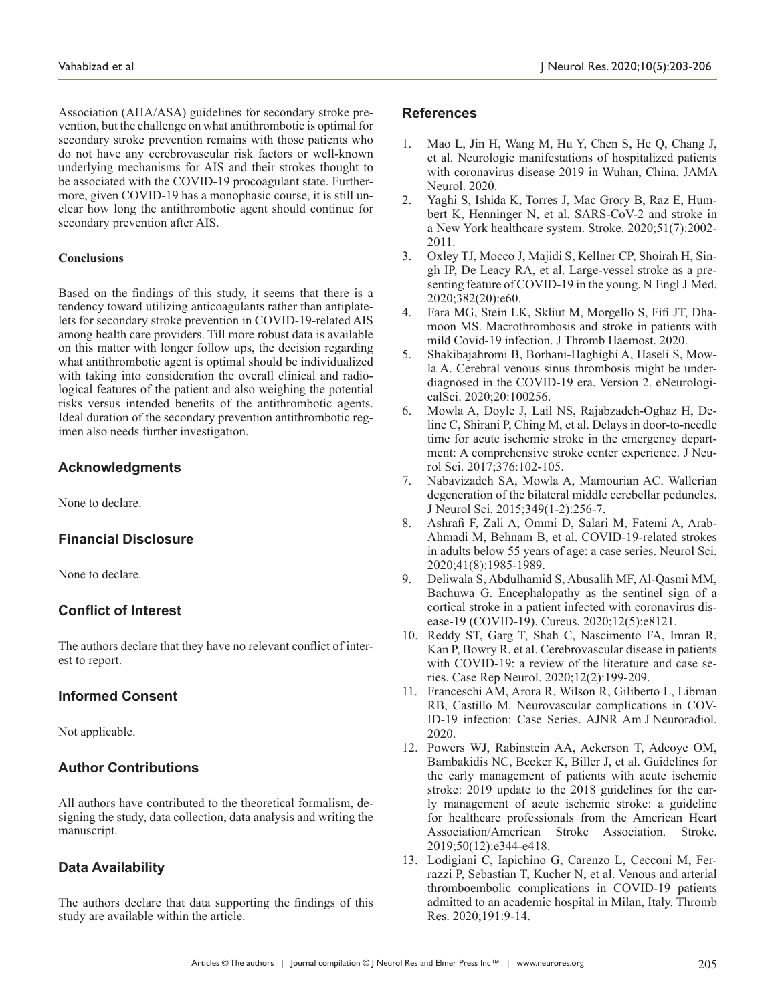Association (AHA/ASA) guidelines for secondary stroke prevention, but the challenge on what antithrombotic is optimal for secondary stroke prevention remains with those patients who do not have any cerebrovascular risk factors or well-known underlying mechanisms for AIS and their strokes thought to be associated with the COVID-19 procoagulant state. Furthermore, given COVID-19 has a monophasic course, it is still unclear how long the antithrombotic agent should continue for secondary prevention after AIS.

#### **Conclusions**

Based on the findings of this study, it seems that there is a tendency toward utilizing anticoagulants rather than antiplatelets for secondary stroke prevention in COVID-19-related AIS among health care providers. Till more robust data is available on this matter with longer follow ups, the decision regarding what antithrombotic agent is optimal should be individualized with taking into consideration the overall clinical and radiological features of the patient and also weighing the potential risks versus intended benefits of the antithrombotic agents. Ideal duration of the secondary prevention antithrombotic regimen also needs further investigation.

## **Acknowledgments**

None to declare.

## **Financial Disclosure**

None to declare.

# **Conflict of Interest**

The authors declare that they have no relevant conflict of interest to report.

## **Informed Consent**

Not applicable.

# **Author Contributions**

All authors have contributed to the theoretical formalism, designing the study, data collection, data analysis and writing the manuscript.

## **Data Availability**

The authors declare that data supporting the findings of this study are available within the article.

#### **References**

- 1. Mao L, Jin H, Wang M, Hu Y, Chen S, He Q, Chang J, et al. Neurologic manifestations of hospitalized patients with coronavirus disease 2019 in Wuhan, China. JAMA Neurol. 2020.
- 2. Yaghi S, Ishida K, Torres J, Mac Grory B, Raz E, Humbert K, Henninger N, et al. SARS-CoV-2 and stroke in a New York healthcare system. Stroke. 2020;51(7):2002- 2011.
- 3. Oxley TJ, Mocco J, Majidi S, Kellner CP, Shoirah H, Singh IP, De Leacy RA, et al. Large-vessel stroke as a presenting feature of COVID-19 in the young. N Engl J Med. 2020;382(20):e60.
- 4. Fara MG, Stein LK, Skliut M, Morgello S, Fifi JT, Dhamoon MS. Macrothrombosis and stroke in patients with mild Covid-19 infection. J Thromb Haemost. 2020.
- 5. Shakibajahromi B, Borhani-Haghighi A, Haseli S, Mowla A. Cerebral venous sinus thrombosis might be underdiagnosed in the COVID-19 era. Version 2. eNeurologicalSci. 2020;20:100256.
- 6. Mowla A, Doyle J, Lail NS, Rajabzadeh-Oghaz H, Deline C, Shirani P, Ching M, et al. Delays in door-to-needle time for acute ischemic stroke in the emergency department: A comprehensive stroke center experience. J Neurol Sci. 2017;376:102-105.
- 7. Nabavizadeh SA, Mowla A, Mamourian AC. Wallerian degeneration of the bilateral middle cerebellar peduncles. J Neurol Sci. 2015;349(1-2):256-7.
- 8. Ashrafi F, Zali A, Ommi D, Salari M, Fatemi A, Arab-Ahmadi M, Behnam B, et al. COVID-19-related strokes in adults below 55 years of age: a case series. Neurol Sci. 2020;41(8):1985-1989.
- 9. Deliwala S, Abdulhamid S, Abusalih MF, Al-Qasmi MM, Bachuwa G. Encephalopathy as the sentinel sign of a cortical stroke in a patient infected with coronavirus disease-19 (COVID-19). Cureus. 2020;12(5):e8121.
- 10. Reddy ST, Garg T, Shah C, Nascimento FA, Imran R, Kan P, Bowry R, et al. Cerebrovascular disease in patients with COVID-19: a review of the literature and case series. Case Rep Neurol. 2020;12(2):199-209.
- 11. Franceschi AM, Arora R, Wilson R, Giliberto L, Libman RB, Castillo M. Neurovascular complications in COV-ID-19 infection: Case Series. AJNR Am J Neuroradiol. 2020.
- 12. Powers WJ, Rabinstein AA, Ackerson T, Adeoye OM, Bambakidis NC, Becker K, Biller J, et al. Guidelines for the early management of patients with acute ischemic stroke: 2019 update to the 2018 guidelines for the early management of acute ischemic stroke: a guideline for healthcare professionals from the American Heart Association/American Stroke Association. Stroke. 2019;50(12):e344-e418.
- 13. Lodigiani C, Iapichino G, Carenzo L, Cecconi M, Ferrazzi P, Sebastian T, Kucher N, et al. Venous and arterial thromboembolic complications in COVID-19 patients admitted to an academic hospital in Milan, Italy. Thromb Res. 2020;191:9-14.